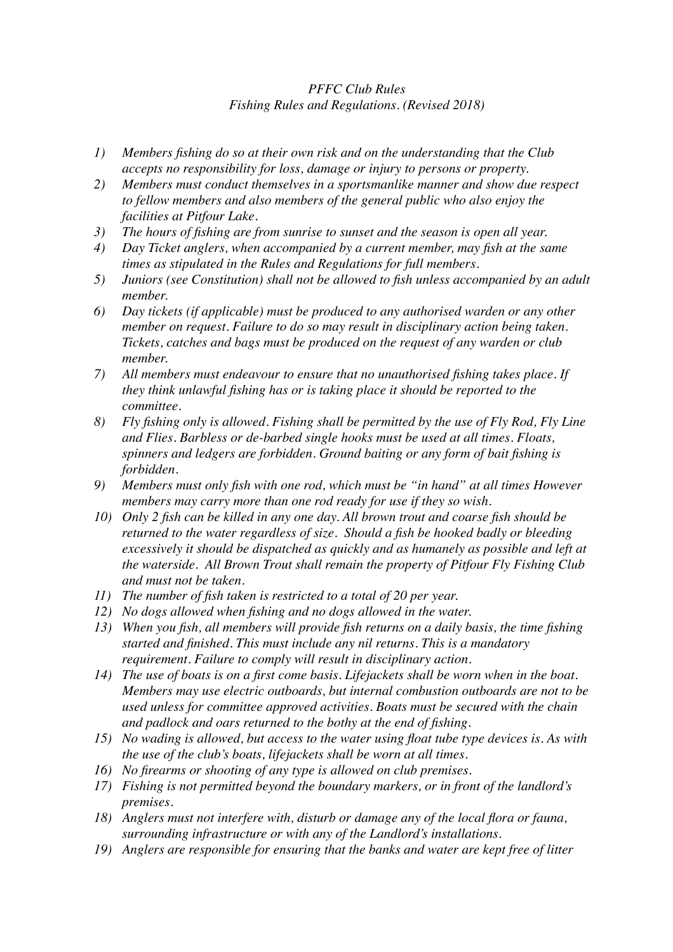## *PFFC Club Rules Fishing Rules and Regulations. (Revised 2018)*

- *1) Members fishing do so at their own risk and on the understanding that the Club accepts no responsibility for loss, damage or injury to persons or property.*
- *2) Members must conduct themselves in a sportsmanlike manner and show due respect to fellow members and also members of the general public who also enjoy the facilities at Pitfour Lake.*
- *3) The hours of fishing are from sunrise to sunset and the season is open all year.*
- *4) Day Ticket anglers, when accompanied by a current member, may fish at the same times as stipulated in the Rules and Regulations for full members.*
- *5) Juniors (see Constitution) shall not be allowed to fish unless accompanied by an adult member.*
- *6) Day tickets (if applicable) must be produced to any authorised warden or any other member on request. Failure to do so may result in disciplinary action being taken. Tickets, catches and bags must be produced on the request of any warden or club member.*
- *7) All members must endeavour to ensure that no unauthorised fishing takes place. If they think unlawful fishing has or is taking place it should be reported to the committee.*
- *8) Fly fishing only is allowed. Fishing shall be permitted by the use of Fly Rod, Fly Line and Flies. Barbless or de-barbed single hooks must be used at all times. Floats, spinners and ledgers are forbidden. Ground baiting or any form of bait fishing is forbidden.*
- *9) Members must only fish with one rod, which must be "in hand" at all times However members may carry more than one rod ready for use if they so wish.*
- *10) Only 2 fish can be killed in any one day. All brown trout and coarse fish should be returned to the water regardless of size. Should a fish be hooked badly or bleeding excessively it should be dispatched as quickly and as humanely as possible and left at the waterside. All Brown Trout shall remain the property of Pitfour Fly Fishing Club and must not be taken.*
- *11) The number of fish taken is restricted to a total of 20 per year.*
- *12) No dogs allowed when fishing and no dogs allowed in the water.*
- *13) When you fish, all members will provide fish returns on a daily basis, the time fishing started and finished. This must include any nil returns. This is a mandatory requirement. Failure to comply will result in disciplinary action.*
- *14) The use of boats is on a first come basis. Lifejackets shall be worn when in the boat. Members may use electric outboards, but internal combustion outboards are not to be used unless for committee approved activities. Boats must be secured with the chain and padlock and oars returned to the bothy at the end of fishing.*
- *15) No wading is allowed, but access to the water using float tube type devices is. As with the use of the club's boats, lifejackets shall be worn at all times.*
- *16) No firearms or shooting of any type is allowed on club premises.*
- *17) Fishing is not permitted beyond the boundary markers, or in front of the landlord's premises.*
- *18) Anglers must not interfere with, disturb or damage any of the local flora or fauna, surrounding infrastructure or with any of the Landlord's installations.*
- *19) Anglers are responsible for ensuring that the banks and water are kept free of litter*